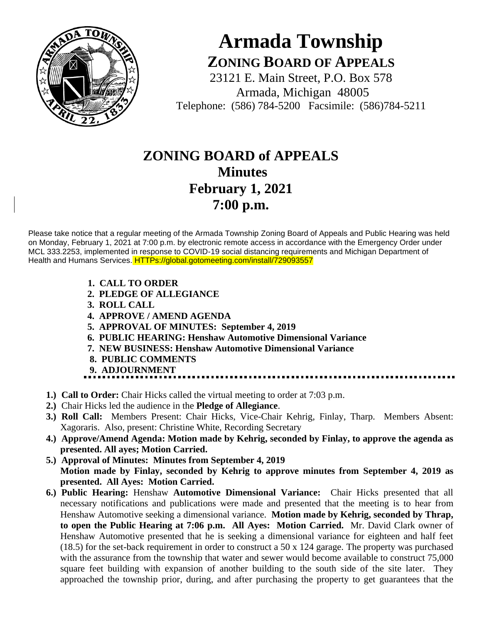

## **Armada Township ZONING BOARD OF APPEALS**

23121 E. Main Street, P.O. Box 578 Armada, Michigan 48005 Telephone: (586) 784-5200 Facsimile: (586)784-5211

## **ZONING BOARD of APPEALS Minutes February 1, 2021 7:00 p.m.**

Please take notice that a regular meeting of the Armada Township Zoning Board of Appeals and Public Hearing was held on Monday, February 1, 2021 at 7:00 p.m. by electronic remote access in accordance with the Emergency Order under MCL 333.2253, implemented in response to COVID-19 social distancing requirements and Michigan Department of Health and Humans Services. HTTPs://global.gotomeeting.com/install/729093557

- **1. CALL TO ORDER**
- **2. PLEDGE OF ALLEGIANCE**
- **3. ROLL CALL**
- **4. APPROVE / AMEND AGENDA**
- **5. APPROVAL OF MINUTES: September 4, 2019**
- **6. PUBLIC HEARING: Henshaw Automotive Dimensional Variance**
- **7. NEW BUSINESS: Henshaw Automotive Dimensional Variance**
- **8. PUBLIC COMMENTS**
- **9. ADJOURNMENT**
- 
- **1.) Call to Order:** Chair Hicks called the virtual meeting to order at 7:03 p.m.
- **2.)** Chair Hicks led the audience in the **Pledge of Allegiance**.
- **3.) Roll Call:** Members Present: Chair Hicks, Vice-Chair Kehrig, Finlay, Tharp. Members Absent: Xagoraris. Also, present: Christine White, Recording Secretary
- **4.) Approve/Amend Agenda: Motion made by Kehrig, seconded by Finlay, to approve the agenda as presented. All ayes; Motion Carried.**
- **5.) Approval of Minutes: Minutes from September 4, 2019 Motion made by Finlay, seconded by Kehrig to approve minutes from September 4, 2019 as presented. All Ayes: Motion Carried.**
- **6.) Public Hearing:** Henshaw **Automotive Dimensional Variance:** Chair Hicks presented that all necessary notifications and publications were made and presented that the meeting is to hear from Henshaw Automotive seeking a dimensional variance. **Motion made by Kehrig, seconded by Thrap, to open the Public Hearing at 7:06 p.m. All Ayes: Motion Carried.** Mr. David Clark owner of Henshaw Automotive presented that he is seeking a dimensional variance for eighteen and half feet (18.5) for the set-back requirement in order to construct a 50 x 124 garage. The property was purchased with the assurance from the township that water and sewer would become available to construct 75,000 square feet building with expansion of another building to the south side of the site later. They approached the township prior, during, and after purchasing the property to get guarantees that the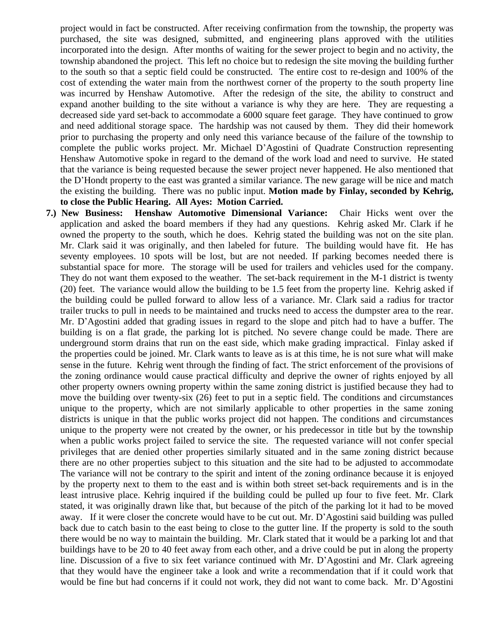project would in fact be constructed. After receiving confirmation from the township, the property was purchased, the site was designed, submitted, and engineering plans approved with the utilities incorporated into the design. After months of waiting for the sewer project to begin and no activity, the township abandoned the project. This left no choice but to redesign the site moving the building further to the south so that a septic field could be constructed. The entire cost to re-design and 100% of the cost of extending the water main from the northwest corner of the property to the south property line was incurred by Henshaw Automotive. After the redesign of the site, the ability to construct and expand another building to the site without a variance is why they are here. They are requesting a decreased side yard set-back to accommodate a 6000 square feet garage. They have continued to grow and need additional storage space. The hardship was not caused by them. They did their homework prior to purchasing the property and only need this variance because of the failure of the township to complete the public works project. Mr. Michael D'Agostini of Quadrate Construction representing Henshaw Automotive spoke in regard to the demand of the work load and need to survive. He stated that the variance is being requested because the sewer project never happened. He also mentioned that the D'Hondt property to the east was granted a similar variance. The new garage will be nice and match the existing the building. There was no public input. **Motion made by Finlay, seconded by Kehrig, to close the Public Hearing. All Ayes: Motion Carried.**

**7.) New Business: Henshaw Automotive Dimensional Variance:** Chair Hicks went over the application and asked the board members if they had any questions. Kehrig asked Mr. Clark if he owned the property to the south, which he does. Kehrig stated the building was not on the site plan. Mr. Clark said it was originally, and then labeled for future. The building would have fit. He has seventy employees. 10 spots will be lost, but are not needed. If parking becomes needed there is substantial space for more. The storage will be used for trailers and vehicles used for the company. They do not want them exposed to the weather. The set-back requirement in the M-1 district is twenty (20) feet. The variance would allow the building to be 1.5 feet from the property line. Kehrig asked if the building could be pulled forward to allow less of a variance. Mr. Clark said a radius for tractor trailer trucks to pull in needs to be maintained and trucks need to access the dumpster area to the rear. Mr. D'Agostini added that grading issues in regard to the slope and pitch had to have a buffer. The building is on a flat grade, the parking lot is pitched. No severe change could be made. There are underground storm drains that run on the east side, which make grading impractical. Finlay asked if the properties could be joined. Mr. Clark wants to leave as is at this time, he is not sure what will make sense in the future. Kehrig went through the finding of fact. The strict enforcement of the provisions of the zoning ordinance would cause practical difficulty and deprive the owner of rights enjoyed by all other property owners owning property within the same zoning district is justified because they had to move the building over twenty-six (26) feet to put in a septic field. The conditions and circumstances unique to the property, which are not similarly applicable to other properties in the same zoning districts is unique in that the public works project did not happen. The conditions and circumstances unique to the property were not created by the owner, or his predecessor in title but by the township when a public works project failed to service the site. The requested variance will not confer special privileges that are denied other properties similarly situated and in the same zoning district because there are no other properties subject to this situation and the site had to be adjusted to accommodate The variance will not be contrary to the spirit and intent of the zoning ordinance because it is enjoyed by the property next to them to the east and is within both street set-back requirements and is in the least intrusive place. Kehrig inquired if the building could be pulled up four to five feet. Mr. Clark stated, it was originally drawn like that, but because of the pitch of the parking lot it had to be moved away. If it were closer the concrete would have to be cut out. Mr. D'Agostini said building was pulled back due to catch basin to the east being to close to the gutter line. If the property is sold to the south there would be no way to maintain the building. Mr. Clark stated that it would be a parking lot and that buildings have to be 20 to 40 feet away from each other, and a drive could be put in along the property line. Discussion of a five to six feet variance continued with Mr. D'Agostini and Mr. Clark agreeing that they would have the engineer take a look and write a recommendation that if it could work that would be fine but had concerns if it could not work, they did not want to come back. Mr. D'Agostini